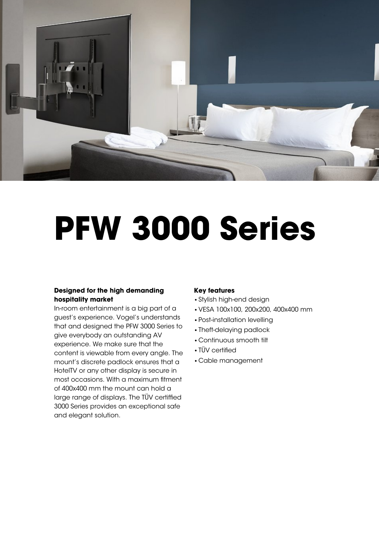

# **PFW 3000 Series**

### **Designed for the high demanding hospitality market**

In-room entertainment is a big part of a guest's experience. Vogel's understands that and designed the PFW 3000 Series to give everybody an outstanding AV experience. We make sure that the content is viewable from every angle. The mount's discrete padlock ensures that a HotelTV or any other display is secure in most occasions. With a maximum fitment of 400x400 mm the mount can hold a large range of displays. The TÜV certifed 3000 Series provides an exceptional safe and elegant solution.

#### **Key features**

- •Stylish high-end design
- •VESA 100x100, 200x200, 400x400 mm
- •Post-installation levelling
- •Theft-delaying padlock
- •Continuous smooth tilt
- TÜV certified
- •Cable management